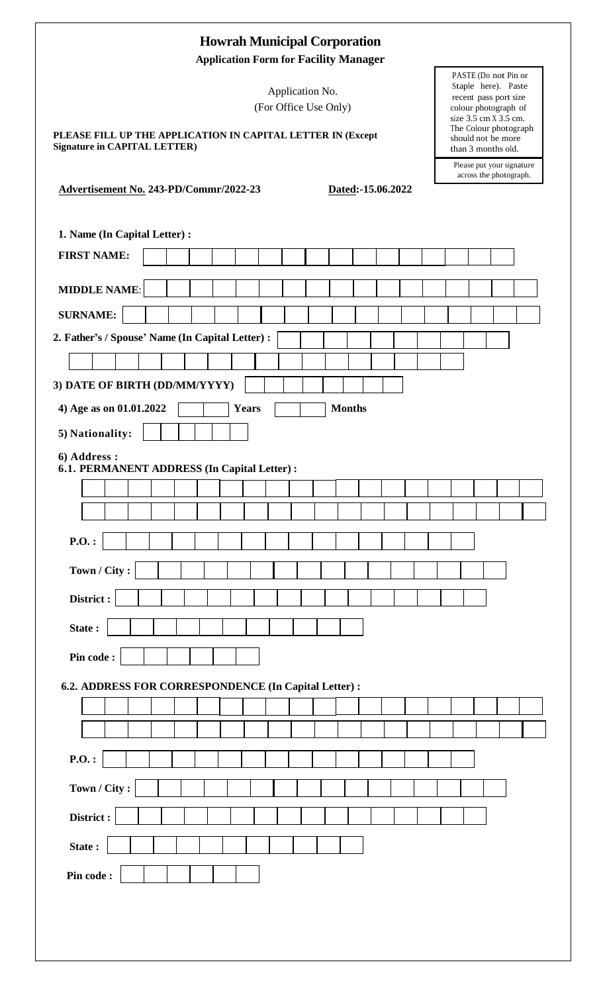| <b>Howrah Municipal Corporation</b><br><b>Application Form for Facility Manager</b>                                                                                                                                                                                                                                                                                              |
|----------------------------------------------------------------------------------------------------------------------------------------------------------------------------------------------------------------------------------------------------------------------------------------------------------------------------------------------------------------------------------|
| PASTE (Do not Pin or<br>Staple here). Paste<br>Application No.<br>recent pass port size<br>(For Office Use Only)<br>colour photograph of<br>size $3.\overline{5}$ cm $\overline{X}3.\overline{5}$ cm.<br>The Colour photograph<br>PLEASE FILL UP THE APPLICATION IN CAPITAL LETTER IN (Except<br>should not be more<br><b>Signature in CAPITAL LETTER)</b><br>than 3 months old. |
| Please put your signature<br>across the photograph.<br>Advertisement No. 243-PD/Commr/2022-23<br>Dated:-15.06.2022                                                                                                                                                                                                                                                               |
| 1. Name (In Capital Letter) :                                                                                                                                                                                                                                                                                                                                                    |
| <b>FIRST NAME:</b>                                                                                                                                                                                                                                                                                                                                                               |
| <b>MIDDLE NAME:</b>                                                                                                                                                                                                                                                                                                                                                              |
| <b>SURNAME:</b>                                                                                                                                                                                                                                                                                                                                                                  |
| 2. Father's / Spouse' Name (In Capital Letter) :                                                                                                                                                                                                                                                                                                                                 |
|                                                                                                                                                                                                                                                                                                                                                                                  |
| 3) DATE OF BIRTH (DD/MM/YYYY)                                                                                                                                                                                                                                                                                                                                                    |
| 4) Age as on 01.01.2022<br><b>Years</b><br><b>Months</b>                                                                                                                                                                                                                                                                                                                         |
| 5) Nationality:                                                                                                                                                                                                                                                                                                                                                                  |
| 6) Address:<br>6.1. PERMANENT ADDRESS (In Capital Letter) :                                                                                                                                                                                                                                                                                                                      |
|                                                                                                                                                                                                                                                                                                                                                                                  |
|                                                                                                                                                                                                                                                                                                                                                                                  |
| $P.O.$ :                                                                                                                                                                                                                                                                                                                                                                         |
| Town / City:                                                                                                                                                                                                                                                                                                                                                                     |
| District:                                                                                                                                                                                                                                                                                                                                                                        |
| State:                                                                                                                                                                                                                                                                                                                                                                           |
| Pin code:                                                                                                                                                                                                                                                                                                                                                                        |
| 6.2. ADDRESS FOR CORRESPONDENCE (In Capital Letter) :                                                                                                                                                                                                                                                                                                                            |
|                                                                                                                                                                                                                                                                                                                                                                                  |
|                                                                                                                                                                                                                                                                                                                                                                                  |
| $P.O.$ :                                                                                                                                                                                                                                                                                                                                                                         |
| Town / City:                                                                                                                                                                                                                                                                                                                                                                     |
| District:                                                                                                                                                                                                                                                                                                                                                                        |
| State:                                                                                                                                                                                                                                                                                                                                                                           |
| Pin code:                                                                                                                                                                                                                                                                                                                                                                        |
|                                                                                                                                                                                                                                                                                                                                                                                  |
|                                                                                                                                                                                                                                                                                                                                                                                  |
|                                                                                                                                                                                                                                                                                                                                                                                  |